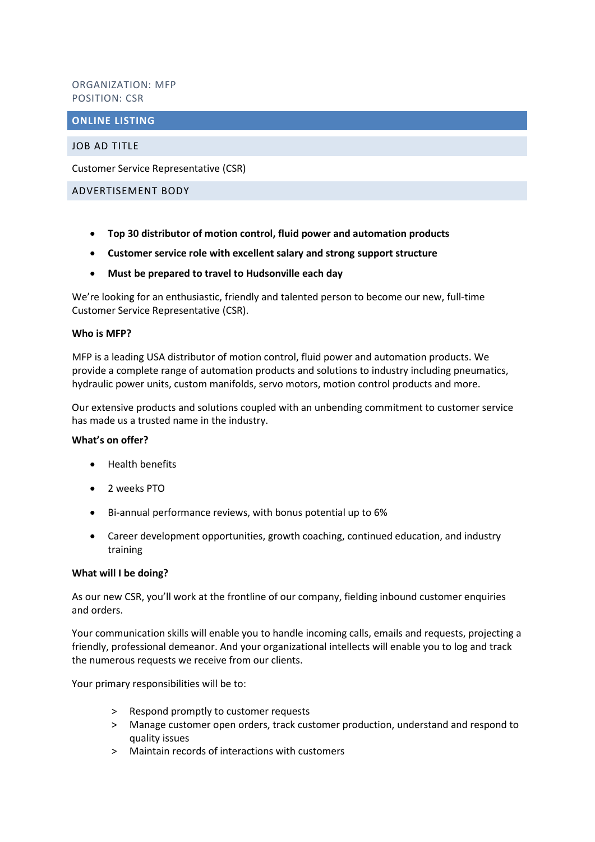# ORGANIZATION: MFP POSITION: CSR

## **ONLINE LISTING**

## JOB AD TITLE

Customer Service Representative (CSR)

#### ADVERTISEMENT BODY

- **Top 30 distributor of motion control, fluid power and automation products**
- **Customer service role with excellent salary and strong support structure**
- **Must be prepared to travel to Hudsonville each day**

We're looking for an enthusiastic, friendly and talented person to become our new, full-time Customer Service Representative (CSR).

## **Who is MFP?**

MFP is a leading USA distributor of motion control, fluid power and automation products. We provide a complete range of automation products and solutions to industry including pneumatics, hydraulic power units, custom manifolds, servo motors, motion control products and more.

Our extensive products and solutions coupled with an unbending commitment to customer service has made us a trusted name in the industry.

## **What's on offer?**

- Health benefits
- 2 weeks PTO
- Bi-annual performance reviews, with bonus potential up to 6%
- Career development opportunities, growth coaching, continued education, and industry training

## **What will I be doing?**

As our new CSR, you'll work at the frontline of our company, fielding inbound customer enquiries and orders.

Your communication skills will enable you to handle incoming calls, emails and requests, projecting a friendly, professional demeanor. And your organizational intellects will enable you to log and track the numerous requests we receive from our clients.

Your primary responsibilities will be to:

- > Respond promptly to customer requests
- > Manage customer open orders, track customer production, understand and respond to quality issues
- > Maintain records of interactions with customers